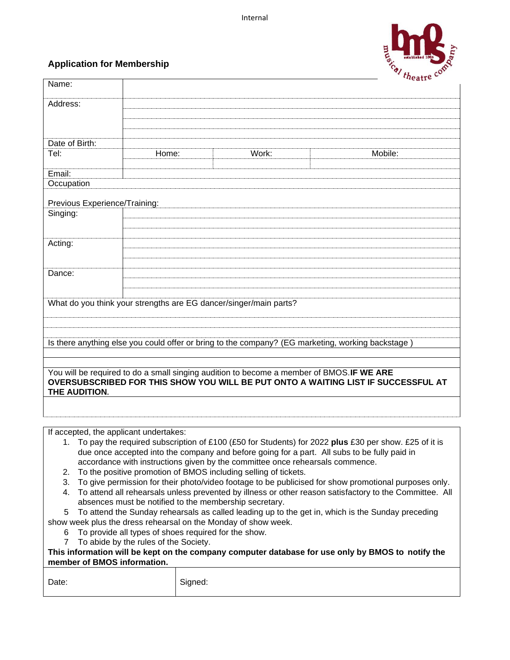

## **Application for Membership**

|                                                                               |                                                                                                             |       | <i>neatre</i>                                                                                           |  |  |  |  |  |  |
|-------------------------------------------------------------------------------|-------------------------------------------------------------------------------------------------------------|-------|---------------------------------------------------------------------------------------------------------|--|--|--|--|--|--|
| Name:                                                                         |                                                                                                             |       |                                                                                                         |  |  |  |  |  |  |
| Address:                                                                      |                                                                                                             |       |                                                                                                         |  |  |  |  |  |  |
|                                                                               |                                                                                                             |       |                                                                                                         |  |  |  |  |  |  |
|                                                                               |                                                                                                             |       |                                                                                                         |  |  |  |  |  |  |
|                                                                               |                                                                                                             |       |                                                                                                         |  |  |  |  |  |  |
| Date of Birth:                                                                |                                                                                                             |       |                                                                                                         |  |  |  |  |  |  |
| Tel:                                                                          | Home:                                                                                                       | Work: | Mobile:                                                                                                 |  |  |  |  |  |  |
|                                                                               |                                                                                                             |       |                                                                                                         |  |  |  |  |  |  |
| Email:                                                                        |                                                                                                             |       |                                                                                                         |  |  |  |  |  |  |
| Occupation                                                                    |                                                                                                             |       |                                                                                                         |  |  |  |  |  |  |
|                                                                               |                                                                                                             |       |                                                                                                         |  |  |  |  |  |  |
| Previous Experience/Training:                                                 |                                                                                                             |       |                                                                                                         |  |  |  |  |  |  |
| Singing:                                                                      |                                                                                                             |       |                                                                                                         |  |  |  |  |  |  |
|                                                                               |                                                                                                             |       |                                                                                                         |  |  |  |  |  |  |
|                                                                               |                                                                                                             |       |                                                                                                         |  |  |  |  |  |  |
| Acting:                                                                       |                                                                                                             |       |                                                                                                         |  |  |  |  |  |  |
|                                                                               |                                                                                                             |       |                                                                                                         |  |  |  |  |  |  |
|                                                                               |                                                                                                             |       |                                                                                                         |  |  |  |  |  |  |
| Dance:                                                                        |                                                                                                             |       |                                                                                                         |  |  |  |  |  |  |
|                                                                               |                                                                                                             |       |                                                                                                         |  |  |  |  |  |  |
|                                                                               |                                                                                                             |       |                                                                                                         |  |  |  |  |  |  |
|                                                                               | What do you think your strengths are EG dancer/singer/main parts?                                           |       |                                                                                                         |  |  |  |  |  |  |
|                                                                               |                                                                                                             |       |                                                                                                         |  |  |  |  |  |  |
|                                                                               |                                                                                                             |       |                                                                                                         |  |  |  |  |  |  |
|                                                                               |                                                                                                             |       |                                                                                                         |  |  |  |  |  |  |
|                                                                               |                                                                                                             |       | Is there anything else you could offer or bring to the company? (EG marketing, working backstage)       |  |  |  |  |  |  |
|                                                                               |                                                                                                             |       |                                                                                                         |  |  |  |  |  |  |
|                                                                               |                                                                                                             |       |                                                                                                         |  |  |  |  |  |  |
|                                                                               | You will be required to do a small singing audition to become a member of BMOS.IF WE ARE                    |       |                                                                                                         |  |  |  |  |  |  |
|                                                                               |                                                                                                             |       | OVERSUBSCRIBED FOR THIS SHOW YOU WILL BE PUT ONTO A WAITING LIST IF SUCCESSFUL AT                       |  |  |  |  |  |  |
| THE AUDITION.                                                                 |                                                                                                             |       |                                                                                                         |  |  |  |  |  |  |
|                                                                               |                                                                                                             |       |                                                                                                         |  |  |  |  |  |  |
|                                                                               |                                                                                                             |       |                                                                                                         |  |  |  |  |  |  |
|                                                                               |                                                                                                             |       |                                                                                                         |  |  |  |  |  |  |
|                                                                               | If accepted, the applicant undertakes:                                                                      |       |                                                                                                         |  |  |  |  |  |  |
|                                                                               |                                                                                                             |       | 1. To pay the required subscription of £100 (£50 for Students) for 2022 plus £30 per show. £25 of it is |  |  |  |  |  |  |
|                                                                               |                                                                                                             |       | due once accepted into the company and before going for a part. All subs to be fully paid in            |  |  |  |  |  |  |
| accordance with instructions given by the committee once rehearsals commence. |                                                                                                             |       |                                                                                                         |  |  |  |  |  |  |
|                                                                               | To the positive promotion of BMOS including selling of tickets.<br>2.                                       |       |                                                                                                         |  |  |  |  |  |  |
|                                                                               | To give permission for their photo/video footage to be publicised for show promotional purposes only.<br>3. |       |                                                                                                         |  |  |  |  |  |  |
| 4.                                                                            |                                                                                                             |       | To attend all rehearsals unless prevented by illness or other reason satisfactory to the Committee. All |  |  |  |  |  |  |
|                                                                               | absences must be notified to the membership secretary.                                                      |       |                                                                                                         |  |  |  |  |  |  |
| 5                                                                             |                                                                                                             |       | To attend the Sunday rehearsals as called leading up to the get in, which is the Sunday preceding       |  |  |  |  |  |  |
|                                                                               | show week plus the dress rehearsal on the Monday of show week.                                              |       |                                                                                                         |  |  |  |  |  |  |

6 To provide all types of shoes required for the show.

7 To abide by the rules of the Society.

| This information will be kept on the company computer database for use only by BMOS to notify the |  |
|---------------------------------------------------------------------------------------------------|--|
| member of BMOS information.                                                                       |  |

| ×<br>×<br>٠<br>٧ |  |
|------------------|--|

Signed: